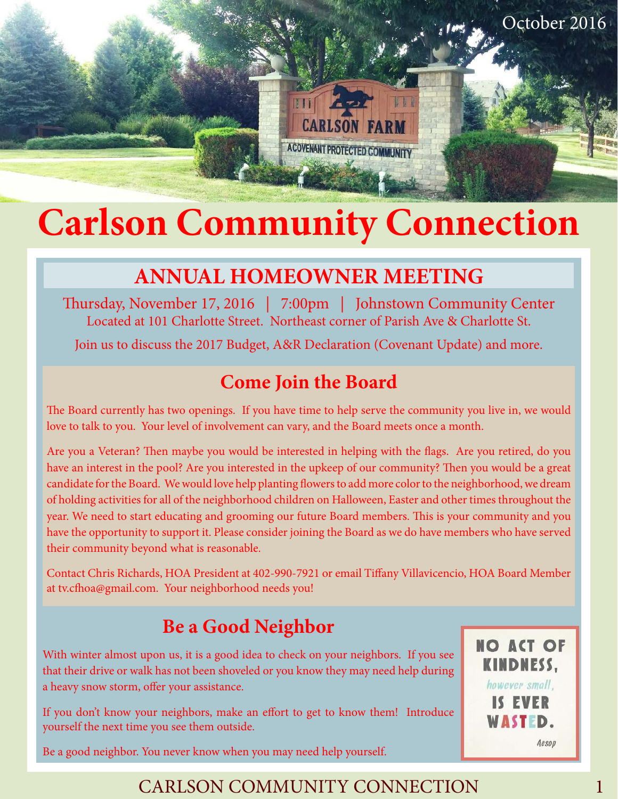

# **Carlson Community Connection**

# **ANNUAL HOMEOWNER MEETING**

Thursday, November 17, 2016 | 7:00pm | Johnstown Community Center Located at 101 Charlotte Street. Northeast corner of Parish Ave & Charlotte St.

Join us to discuss the 2017 Budget, A&R Declaration (Covenant Update) and more.

## **Come Join the Board**

The Board currently has two openings. If you have time to help serve the community you live in, we would love to talk to you. Your level of involvement can vary, and the Board meets once a month.

Are you a Veteran? Then maybe you would be interested in helping with the flags. Are you retired, do you have an interest in the pool? Are you interested in the upkeep of our community? Then you would be a great candidate for the Board. We would love help planting flowers to add more color to the neighborhood, we dream of holding activities for all of the neighborhood children on Halloween, Easter and other times throughout the year. We need to start educating and grooming our future Board members. This is your community and you have the opportunity to support it. Please consider joining the Board as we do have members who have served their community beyond what is reasonable.

Contact Chris Richards, HOA President at 402-990-7921 or email Tiffany Villavicencio, HOA Board Member at tv.cfhoa@gmail.com. Your neighborhood needs you!

# **Be a Good Neighbor**

With winter almost upon us, it is a good idea to check on your neighbors. If you see that their drive or walk has not been shoveled or you know they may need help during a heavy snow storm, offer your assistance.

If you don't know your neighbors, make an effort to get to know them! Introduce yourself the next time you see them outside.

**NO ACT OF KINDNESS,** however small. IS EVER WASTED. Aesop

Be a good neighbor. You never know when you may need help yourself.

#### CARLSON COMMUNITY CONNECTION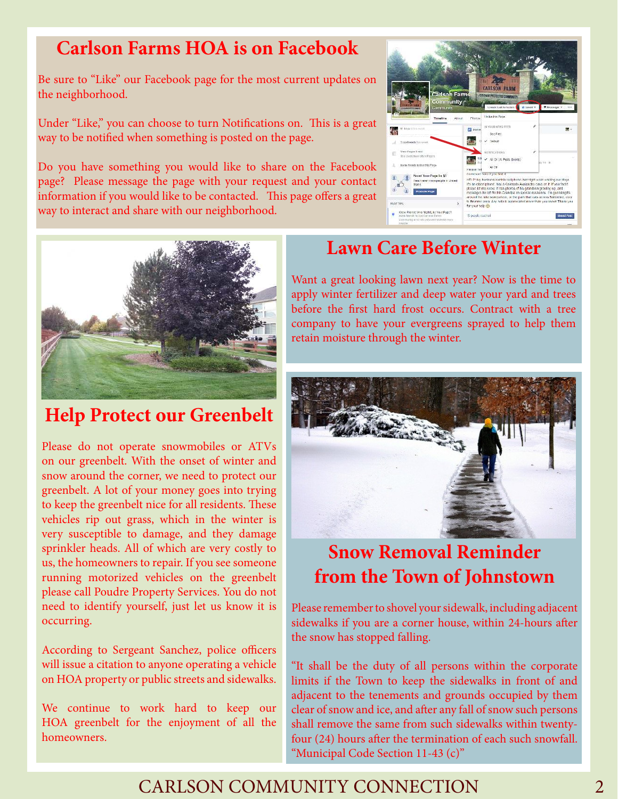#### **Carlson Farms HOA is on Facebook**

Be sure to "Like" our Facebook page for the most current updates on the neighborhood.

Under "Like," you can choose to turn Notifications on. This is a great way to be notified when something is posted on the page.

Do you have something you would like to share on the Facebook page? Please message the page with your request and your contact information if you would like to be contacted. This page offers a great way to interact and share with our neighborhood.





#### **Help Protect our Greenbelt**

Please do not operate snowmobiles or ATVs on our greenbelt. With the onset of winter and snow around the corner, we need to protect our greenbelt. A lot of your money goes into trying to keep the greenbelt nice for all residents. These vehicles rip out grass, which in the winter is very susceptible to damage, and they damage sprinkler heads. All of which are very costly to us, the homeowners to repair. If you see someone running motorized vehicles on the greenbelt please call Poudre Property Services. You do not need to identify yourself, just let us know it is occurring.

According to Sergeant Sanchez, police officers will issue a citation to anyone operating a vehicle on HOA property or public streets and sidewalks.

We continue to work hard to keep our HOA greenbelt for the enjoyment of all the homeowners.

#### **Lawn Care Before Winter**

Want a great looking lawn next year? Now is the time to apply winter fertilizer and deep water your yard and trees before the first hard frost occurs. Contract with a tree company to have your evergreens sprayed to help them retain moisture through the winter.



#### **Snow Removal Reminder from the Town of Johnstown**

Please remember to shovel your sidewalk, including adjacent sidewalks if you are a corner house, within 24-hours after the snow has stopped falling.

"It shall be the duty of all persons within the corporate limits if the Town to keep the sidewalks in front of and adjacent to the tenements and grounds occupied by them clear of snow and ice, and after any fall of snow such persons shall remove the same from such sidewalks within twentyfour (24) hours after the termination of each such snowfall. "Municipal Code Section 11-43 (c)"

#### CARLSON COMMUNITY CONNECTION 2